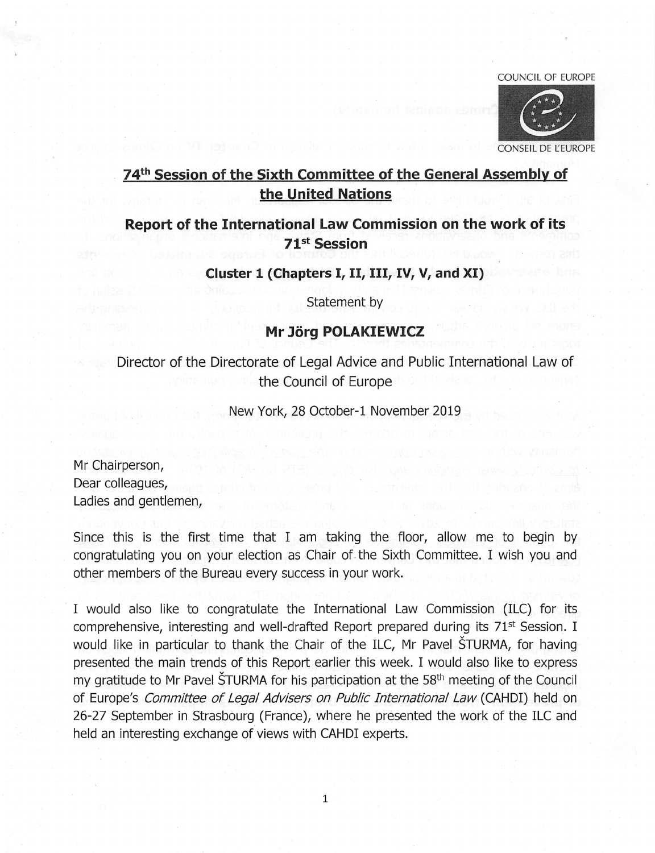#### COUNCIL OF EUROPE



# 74<sup>th</sup> Session of the Sixth Committee of the General Assembly of the United Nations

# Report of the International Law Commission on the work of its 71st Session

Cluster 1 (Chapters I, II, III, IV, V, and XI)

Statement by

### Mr Jörg POLAKIEWICZ

Director of the Directorate of Legal Advice and Public International Law of the Council of Europe

New York, 28 October-1 November 2019

Mr Chairperson, Dear colleagues. Ladies and gentlemen.

Since this is the first time that I am taking the floor, allow me to begin by congratulating you on your election as Chair of the Sixth Committee. I wish you and other members of the Bureau every success in your work.

I would also like to congratulate the International Law Commission (ILC) for its comprehensive, interesting and well-drafted Report prepared during its 71<sup>st</sup> Session. I would like in particular to thank the Chair of the ILC, Mr Pavel STURMA, for having presented the main trends of this Report earlier this week. I would also like to express my gratitude to Mr Pavel STURMA for his participation at the  $58<sup>th</sup>$  meeting of the Council of Europe's Committee of Legal Advisers on Public International Law (CAHDI) held on 26-27 September in Strasbourg (France), where he presented the work of the ILC and held an interesting exchange of views with CAHDI experts.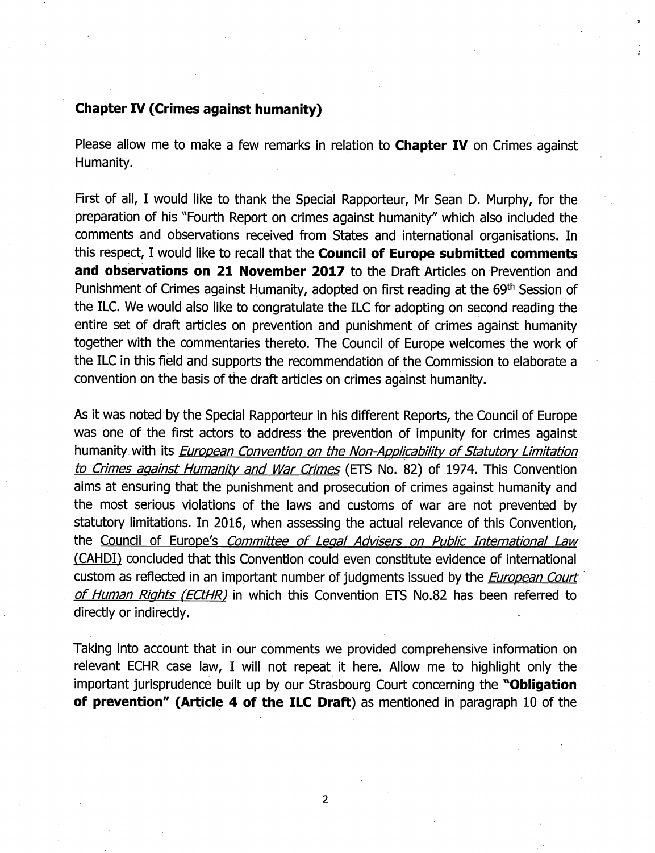#### Chapter IV (Crimes against humanity)

Please allow me to make a few remarks in relation to **Chapter IV** on Crimes against Humanity.

First of ali, I would iike to thank the Special Rapporteur, Mr Sean D. Murphy, for the preparation of his "Fourth Report on crimes against humanity" which also included the comments and observations received from States and international organisations. In this respect, I would like to recall that the **Council of Europe submitted comments** and observations on 21 November 2017 to the Draft Articles on Prevention and Punishment of Crimes against Humanity, adopted on first reading at the 69<sup>th</sup> Session of the ILC. We would also like to congratulate the ILC for adopting on second reading the entire set of draft articles on prevention and punishment of crimes against humanity together with the commentaries thereto. The Council of Europe welcomes the work of the ILC in this field and supports the recommendation of the Commission to elaborate a convention on the basis of the draft articles on crimes against humanity.

As it was noted by the Special Rapporteur in his different Reports, the Council of Europe was one of the first actors to address the prevention of impunity for crimes against humanity with its *European Convention on the Non-Applicability of Statutory Limitation* to Crimes against Humanity and War Crimes (ETS No. 82) of 1974. This Convention aims at ensuring that the punishment and prosecution of crimes against humanity and the most serious violations of the laws and customs of war are not prevented by statutory limitations. In 2016, when assessing the actual relevance of this Convention, the Council of Europe's Committee of Legal Advisers on Public International Law (CAHDI) concluded that this Convention could even constitute evidence of international custom as reflected in an important number of judgments issued by the *European Court* of Human Rights (ECtHR) in which this Convention ETS No.82 has been referred to directly or indirectly.

Taking into account that in our comments we provided comprehensive information on relevant ECHR case law, I will not repeat it here. Allow me to highlight only the important jurisprudence built up by our Strasbourg Court concerning the "Obligation" of prevention" (Article 4 of the ILC Draft) as mentioned in paragraph 10 of the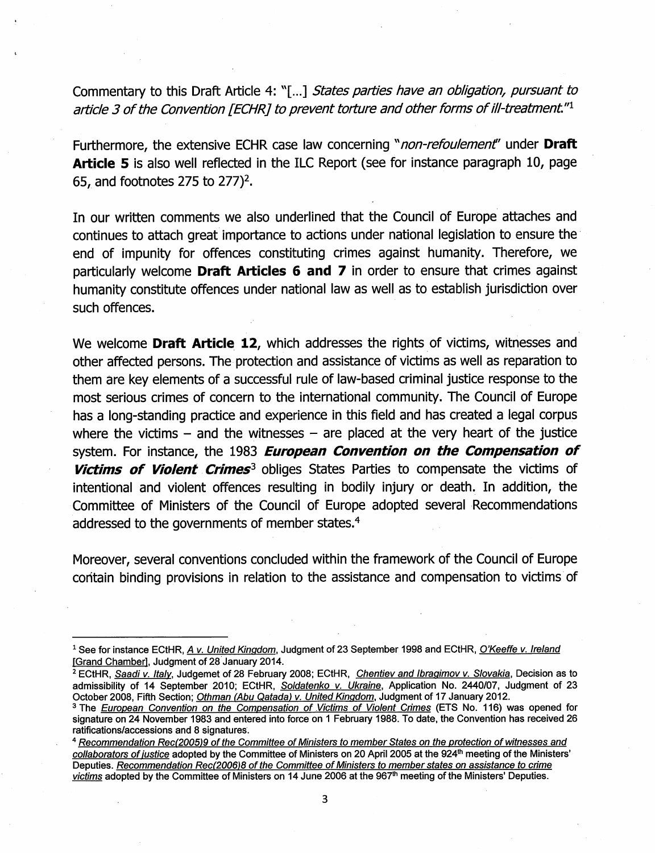Commentary to this Draft Article 4: "[...] States parties have an obligation, pursuant to article 3 of the Convention [ECHR] to prevent torture and other forms of ill-treatment." $1$ 

Furthermore, the extensive ECHR case law concerning "non-refoulement" under Draft **Article 5** is also well reflected in the ILC Report (see for instance paragraph 10, page 65, and footnotes 275 to  $277$ <sup>2</sup>.

In our written comments we also underlined that the Council of Europe attaches and continues to attach great Importance to actions under national legislation to ensure the end of impunity for offences constituting crimes against humanity. Therefore, we particularly welcome Draft Articles 6 and 7 in order to ensure that crimes against humanity constitute offences under national law as well as to establish jurisdiction over such offences.

We welcome **Draft Article 12**, which addresses the rights of victims, witnesses and other affected persons. The protection and assistance of victims as well as reparation to them are key elements of a successful rule of law-based criminal justice response to the most serious crimes of concern to the International community. The Council of Europe has a long-standing practice and experience in this field and has created a legal corpus where the victims  $-$  and the witnesses  $-$  are placed at the very heart of the justice system. For instance, the 1983 European Convention on the Compensation of Victims of Violent Crimes<sup>3</sup> obliges States Parties to compensate the victims of intentional and violent offences resulting in bodily injury or death. In addition, the Committee of Ministers of the Council of Europe adopted several Recommendations addressed to the governments of member states.<sup>4</sup>

Moreover, several conventions concluded within the framework of the Council of Europe contain binding provisions in relation to the assistance and compensation to victims of

<sup>&</sup>lt;sup>1</sup> See for instance ECtHR, A v. United Kingdom, Judgment of 23 September 1998 and ECtHR, O'Keeffe v. Ireland [Grand Chamber], Judgment of 28 January 2014.

<sup>&</sup>lt;sup>2</sup> ECtHR, Saadi v. Italy, Judgemet of 28 February 2008; ECtHR, Chentiev and Ibragimov v. Slovakia, Decision as to admissibility of 14 September 2010; ECtHR, Soldatenko v. Ukraine, Application No. 2440/07, Judgment of 23 October 2008, Fifth Section; Othman (Abu Qatada) v. United Kingdom, Judgment of 17 January 2012.

<sup>&</sup>lt;sup>3</sup> The European Convention on the Compensation of Victims of Violent Crimes (ETS No. 116) was opened for signature on 24 November 1983 and entered into force on 1 February 1988. To date, the Convention has received 26 ratifications/accessions and 8 signatures.

<sup>&</sup>lt;sup>4</sup> Recommendation Rec(2005)9 of the Committee of Ministers to member States on the protection of witnesses and collaborators of justice adopted by the Committee of Ministers on 20 April 2005 at the 924<sup>th</sup> meeting of the Ministers' Deputies. Recommendation Rec(2006)8 of the Committee of Ministers to member states on assistance to crime victims adopted by the Committee of Ministers on 14 June 2006 at the 967<sup>th</sup> meeting of the Ministers' Deputies.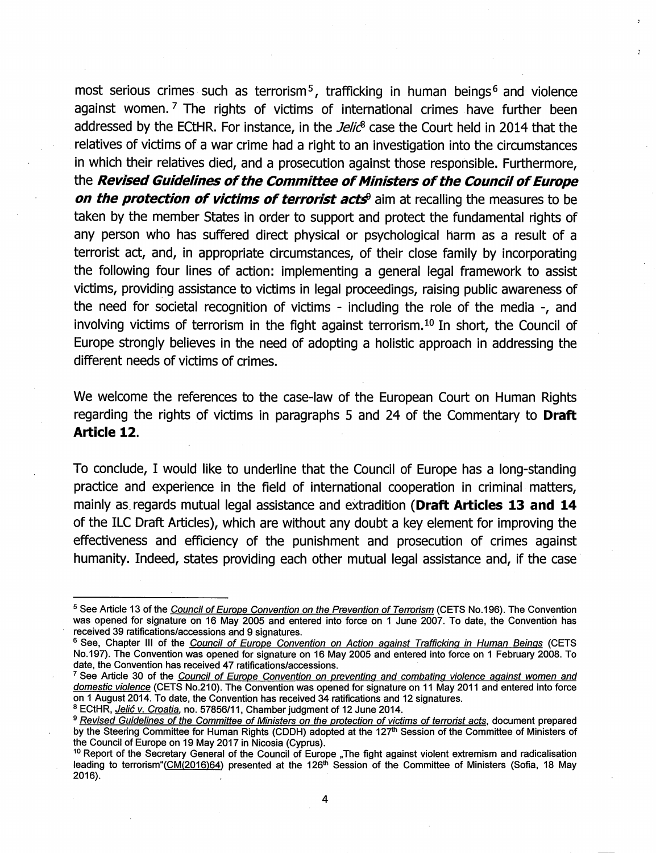most serious crimes such as terrorism<sup>5</sup>, trafficking in human beings<sup>6</sup> and violence against women.<sup>7</sup> The rights of victims of international crimes have further been addressed by the ECtHR. For instance, in the *Jelic*<sup>8</sup> case the Court held in 2014 that the relatives of victims of a war crime had a right to an investigation into the circumstances in which their relatives died, and a prosecution against those responsible. Furthermore, the Revised Guidelines of the Committee of Ministers of the Council of Europe on the protection of victims of terrorist acts<sup>9</sup> aim at recalling the measures to be taken by the member States in order to support and protect the fundamental rights of any person who has suffered direct physical or psychological harm as a result of a terrorist act, and, in appropriate circumstances, of their close family by incorporating the following four lines of action: implementing a general legal framework to assist victims, providing assistance to victims in legal proceedings, raising public awareness of the need for societal recognition of victims - including the role of the media -, and involving victims of terrorism in the fight against terrorism.<sup>10</sup> In short, the Council of Europe strongly believes in the need of adopting a holistic approach in addressing the different needs of victims of crimes.

We welcome the references to the case-law of the European Court on Human Rights regarding the rights of victims in paragraphs 5 and 24 of the Commentary to Draft Article 12.

To conclude, I would like to underline that the Council of Europe has a long-standing practice and experience in the field of international cooperation in criminal matters, mainly as regards mutual legal assistance and extradition (Draft Articles 13 and 14 of the ILC Draft Articles), which are without any doubt a key element for improving the effectiveness and efficiency of the punishment and prosecution of crimes against humanity. Indeed, states providing each other mutual legal assistance and, if the case

<sup>&</sup>lt;sup>5</sup> See Article 13 of the Council of Europe Convention on the Prevention of Terrorism (CETS No.196). The Convention was opened for signature on 16 May 2005 and entered into force on 1 June 2007. To date, the Convention has received 39 ratifications/accessions and 9 signatures.

<sup>&</sup>lt;sup>6</sup> See, Chapter III of the Council of Europe Convention on Action against Trafficking in Human Beings (CETS No.197). The Convention was opened for signature on 16 May 2005 and entered into force on 1 February 2008. To date, the Convention has received 47 ratifications/accessions.

<sup>&</sup>lt;sup>7</sup> See Article 30 of the Council of Europe Convention on preventing and combating violence against women and domestic violence (CETS No.210). The Convention was opened for signature on 11 May 2011 and entered into force on 1 August 2014. To date, the Convention has received 34 ratifications and 12 signatures.

<sup>&</sup>lt;sup>8</sup> ECtHR, Jelić v. Croatia, no. 57856/11, Chamber judgment of 12 June 2014.

<sup>&</sup>lt;sup>9</sup> Revised Guidelines of the Committee of Ministers on the protection of victims of terrorist acts, document prepared by the Steering Committee for Human Rights (CDDH) adopted at the 127<sup>th</sup> Session of the Committee of Ministers of the Council of Europe on 19 May 2017 in Nicosia (Cyprus).

<sup>&</sup>lt;sup>10</sup> Report of the Secretary General of the Council of Europe "The fight against violent extremism and radicalisation leading to terrorism"(CM(2016)64) presented at the 126<sup>th</sup> Session of the Committee of Ministers (Sofia, 18 May 2016).